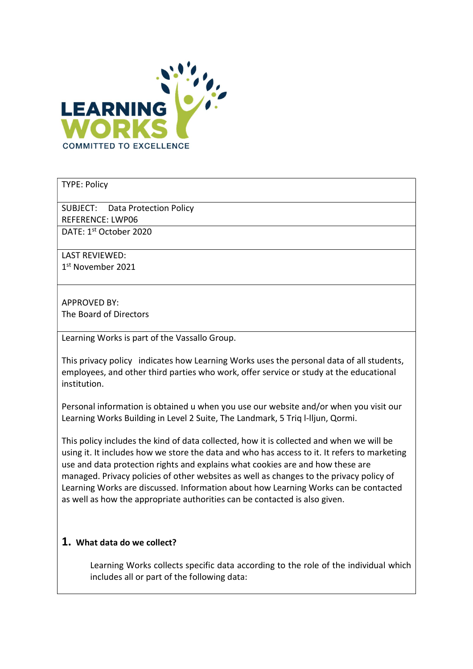

#### TYPE: Policy

SUBJECT: Data Protection Policy REFERENCE: LWP06 DATE: 1st October 2020

LAST REVIEWED: 1 st November 2021

APPROVED BY: The Board of Directors

Learning Works is part of the Vassallo Group.

This privacy policy indicates how Learning Works uses the personal data of all students, employees, and other third parties who work, offer service or study at the educational institution.

Personal information is obtained u when you use our website and/or when you visit our Learning Works Building in Level 2 Suite, The Landmark, 5 Triq l-lljun, Qormi.

This policy includes the kind of data collected, how it is collected and when we will be using it. It includes how we store the data and who has access to it. It refers to marketing use and data protection rights and explains what cookies are and how these are managed. Privacy policies of other websites as well as changes to the privacy policy of Learning Works are discussed. Information about how Learning Works can be contacted as well as how the appropriate authorities can be contacted is also given.

## 1. What data do we collect?

Learning Works collects specific data according to the role of the individual which includes all or part of the following data: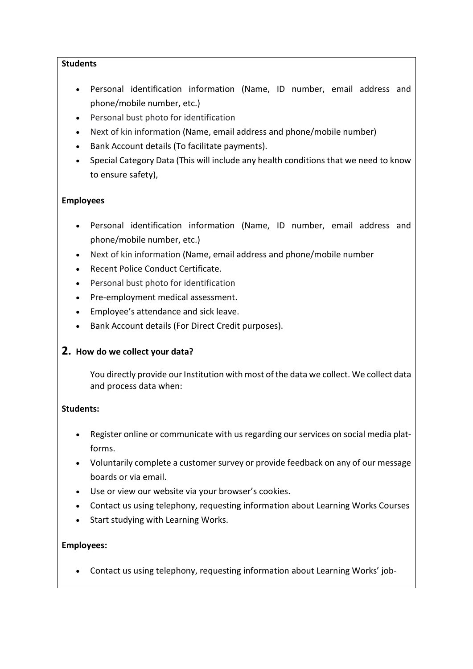### **Students**

- Personal identification information (Name, ID number, email address and phone/mobile number, etc.)
- Personal bust photo for identification
- Next of kin information (Name, email address and phone/mobile number)
- Bank Account details (To facilitate payments).
- Special Category Data (This will include any health conditions that we need to know to ensure safety),

## Employees

- Personal identification information (Name, ID number, email address and phone/mobile number, etc.)
- Next of kin information (Name, email address and phone/mobile number
- Recent Police Conduct Certificate.
- Personal bust photo for identification
- Pre-employment medical assessment.
- Employee's attendance and sick leave.
- Bank Account details (For Direct Credit purposes).

## 2. How do we collect your data?

You directly provide our Institution with most of the data we collect. We collect data and process data when:

## Students:

- Register online or communicate with us regarding our services on social media platforms.
- Voluntarily complete a customer survey or provide feedback on any of our message boards or via email.
- Use or view our website via your browser's cookies.
- Contact us using telephony, requesting information about Learning Works Courses
- Start studying with Learning Works.

## Employees:

Contact us using telephony, requesting information about Learning Works' job-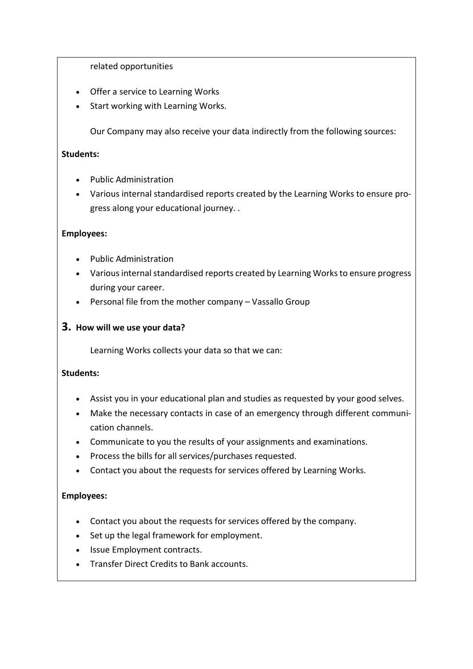related opportunities

- Offer a service to Learning Works
- Start working with Learning Works.

Our Company may also receive your data indirectly from the following sources:

### Students:

- Public Administration
- Various internal standardised reports created by the Learning Works to ensure progress along your educational journey. .

## Employees:

- Public Administration
- Various internal standardised reports created by Learning Works to ensure progress during your career.
- Personal file from the mother company Vassallo Group

## 3. How will we use your data?

Learning Works collects your data so that we can:

## Students:

- Assist you in your educational plan and studies as requested by your good selves.
- Make the necessary contacts in case of an emergency through different communication channels.
- Communicate to you the results of your assignments and examinations.
- Process the bills for all services/purchases requested.
- Contact you about the requests for services offered by Learning Works.

## Employees:

- Contact you about the requests for services offered by the company.
- Set up the legal framework for employment.
- Issue Employment contracts.
- Transfer Direct Credits to Bank accounts.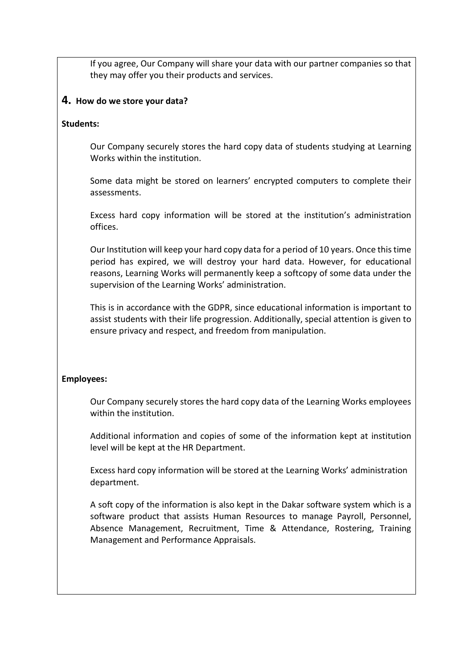If you agree, Our Company will share your data with our partner companies so that they may offer you their products and services.

## 4. How do we store your data?

## Students:

Our Company securely stores the hard copy data of students studying at Learning Works within the institution.

Some data might be stored on learners' encrypted computers to complete their assessments.

Excess hard copy information will be stored at the institution's administration offices.

Our Institution will keep your hard copy data for a period of 10 years. Once this time period has expired, we will destroy your hard data. However, for educational reasons, Learning Works will permanently keep a softcopy of some data under the supervision of the Learning Works' administration.

This is in accordance with the GDPR, since educational information is important to assist students with their life progression. Additionally, special attention is given to ensure privacy and respect, and freedom from manipulation.

## Employees:

Our Company securely stores the hard copy data of the Learning Works employees within the institution.

Additional information and copies of some of the information kept at institution level will be kept at the HR Department.

Excess hard copy information will be stored at the Learning Works' administration department.

A soft copy of the information is also kept in the Dakar software system which is a software product that assists Human Resources to manage Payroll, Personnel, Absence Management, Recruitment, Time & Attendance, Rostering, Training Management and Performance Appraisals.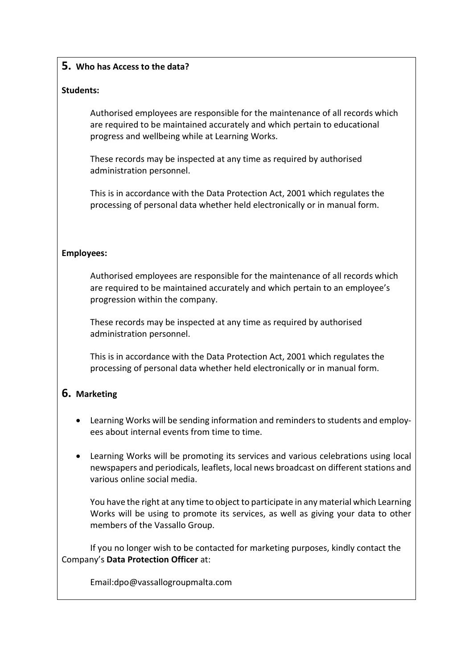## 5. Who has Access to the data?

### Students:

Authorised employees are responsible for the maintenance of all records which are required to be maintained accurately and which pertain to educational progress and wellbeing while at Learning Works.

These records may be inspected at any time as required by authorised administration personnel.

This is in accordance with the Data Protection Act, 2001 which regulates the processing of personal data whether held electronically or in manual form.

#### Employees:

Authorised employees are responsible for the maintenance of all records which are required to be maintained accurately and which pertain to an employee's progression within the company.

These records may be inspected at any time as required by authorised administration personnel.

This is in accordance with the Data Protection Act, 2001 which regulates the processing of personal data whether held electronically or in manual form.

# 6. Marketing

- Learning Works will be sending information and reminders to students and employees about internal events from time to time.
- Learning Works will be promoting its services and various celebrations using local newspapers and periodicals, leaflets, local news broadcast on different stations and various online social media.

You have the right at any time to object to participate in any material which Learning Works will be using to promote its services, as well as giving your data to other members of the Vassallo Group.

If you no longer wish to be contacted for marketing purposes, kindly contact the Company's Data Protection Officer at:

Email:dpo@vassallogroupmalta.com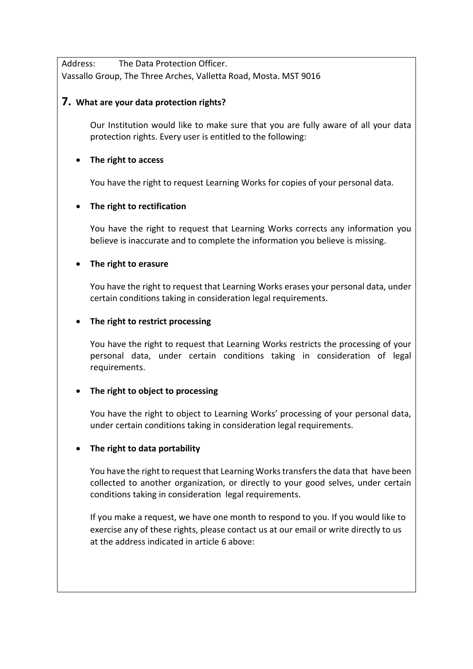Address: The Data Protection Officer. Vassallo Group, The Three Arches, Valletta Road, Mosta. MST 9016

## 7. What are your data protection rights?

Our Institution would like to make sure that you are fully aware of all your data protection rights. Every user is entitled to the following:

## • The right to access

You have the right to request Learning Works for copies of your personal data.

## • The right to rectification

You have the right to request that Learning Works corrects any information you believe is inaccurate and to complete the information you believe is missing.

## • The right to erasure

You have the right to request that Learning Works erases your personal data, under certain conditions taking in consideration legal requirements.

## • The right to restrict processing

You have the right to request that Learning Works restricts the processing of your personal data, under certain conditions taking in consideration of legal requirements.

# • The right to object to processing

You have the right to object to Learning Works' processing of your personal data, under certain conditions taking in consideration legal requirements.

## • The right to data portability

You have the right to request that Learning Works transfers the data that have been collected to another organization, or directly to your good selves, under certain conditions taking in consideration legal requirements.

If you make a request, we have one month to respond to you. If you would like to exercise any of these rights, please contact us at our email or write directly to us at the address indicated in article 6 above: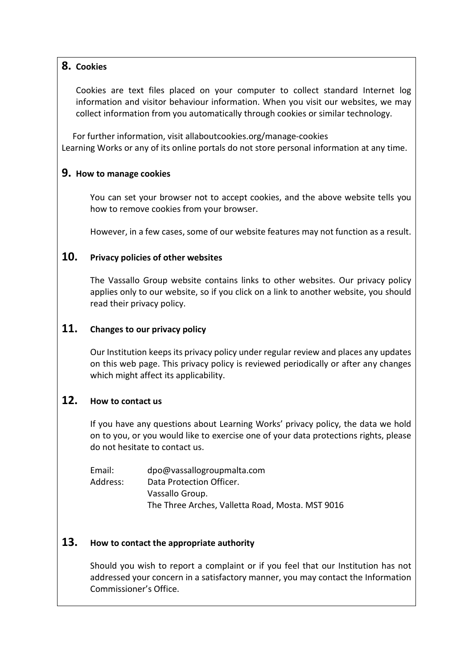## 8. Cookies

Cookies are text files placed on your computer to collect standard Internet log information and visitor behaviour information. When you visit our websites, we may collect information from you automatically through cookies or similar technology.

 For further information, visit allaboutcookies.org/manage-cookies Learning Works or any of its online portals do not store personal information at any time.

## 9. How to manage cookies

You can set your browser not to accept cookies, and the above website tells you how to remove cookies from your browser.

However, in a few cases, some of our website features may not function as a result.

## 10. Privacy policies of other websites

The Vassallo Group website contains links to other websites. Our privacy policy applies only to our website, so if you click on a link to another website, you should read their privacy policy.

## 11. Changes to our privacy policy

Our Institution keeps its privacy policy under regular review and places any updates on this web page. This privacy policy is reviewed periodically or after any changes which might affect its applicability.

## 12. How to contact us

If you have any questions about Learning Works' privacy policy, the data we hold on to you, or you would like to exercise one of your data protections rights, please do not hesitate to contact us.

Email: dpo@vassallogroupmalta.com Address: Data Protection Officer. Vassallo Group. The Three Arches, Valletta Road, Mosta. MST 9016

# 13. How to contact the appropriate authority

Should you wish to report a complaint or if you feel that our Institution has not addressed your concern in a satisfactory manner, you may contact the Information Commissioner's Office.